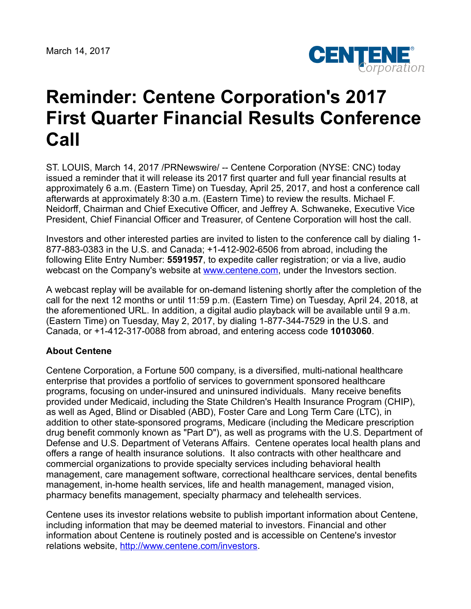March 14, 2017



## **Reminder: Centene Corporation's 2017 First Quarter Financial Results Conference Call**

ST. LOUIS, March 14, 2017 /PRNewswire/ -- Centene Corporation (NYSE: CNC) today issued a reminder that it will release its 2017 first quarter and full year financial results at approximately 6 a.m. (Eastern Time) on Tuesday, April 25, 2017, and host a conference call afterwards at approximately 8:30 a.m. (Eastern Time) to review the results. Michael F. Neidorff, Chairman and Chief Executive Officer, and Jeffrey A. Schwaneke, Executive Vice President, Chief Financial Officer and Treasurer, of Centene Corporation will host the call.

Investors and other interested parties are invited to listen to the conference call by dialing 1- 877-883-0383 in the U.S. and Canada; +1-412-902-6506 from abroad, including the following Elite Entry Number: **5591957**, to expedite caller registration; or via a live, audio webcast on the Company's website at [www.centene.com,](http://www.centene.com/) under the Investors section.

A webcast replay will be available for on-demand listening shortly after the completion of the call for the next 12 months or until 11:59 p.m. (Eastern Time) on Tuesday, April 24, 2018, at the aforementioned URL. In addition, a digital audio playback will be available until 9 a.m. (Eastern Time) on Tuesday, May 2, 2017, by dialing 1-877-344-7529 in the U.S. and Canada, or +1-412-317-0088 from abroad, and entering access code **10103060**.

## **About Centene**

Centene Corporation, a Fortune 500 company, is a diversified, multi-national healthcare enterprise that provides a portfolio of services to government sponsored healthcare programs, focusing on under-insured and uninsured individuals. Many receive benefits provided under Medicaid, including the State Children's Health Insurance Program (CHIP), as well as Aged, Blind or Disabled (ABD), Foster Care and Long Term Care (LTC), in addition to other state-sponsored programs, Medicare (including the Medicare prescription drug benefit commonly known as "Part D"), as well as programs with the U.S. Department of Defense and U.S. Department of Veterans Affairs. Centene operates local health plans and offers a range of health insurance solutions. It also contracts with other healthcare and commercial organizations to provide specialty services including behavioral health management, care management software, correctional healthcare services, dental benefits management, in-home health services, life and health management, managed vision, pharmacy benefits management, specialty pharmacy and telehealth services.

Centene uses its investor relations website to publish important information about Centene, including information that may be deemed material to investors. Financial and other information about Centene is routinely posted and is accessible on Centene's investor relations website, <http://www.centene.com/investors>.